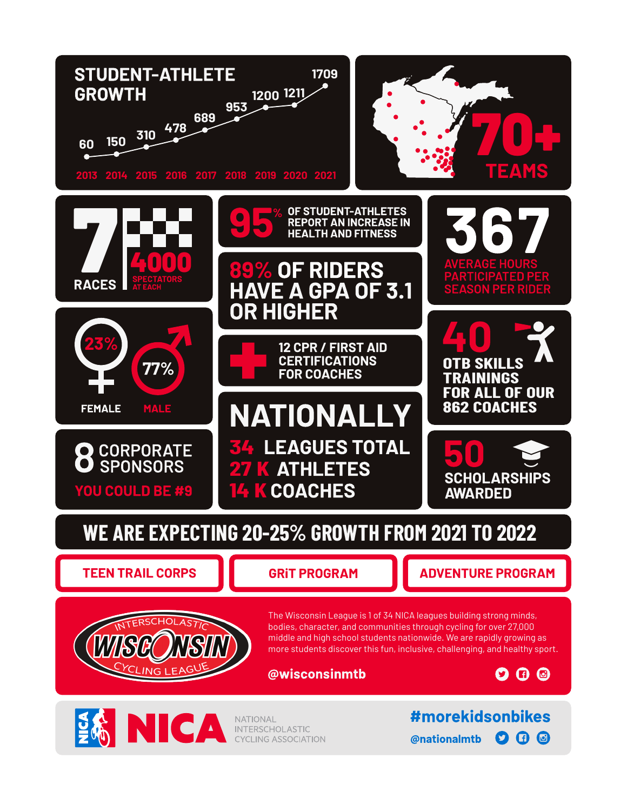